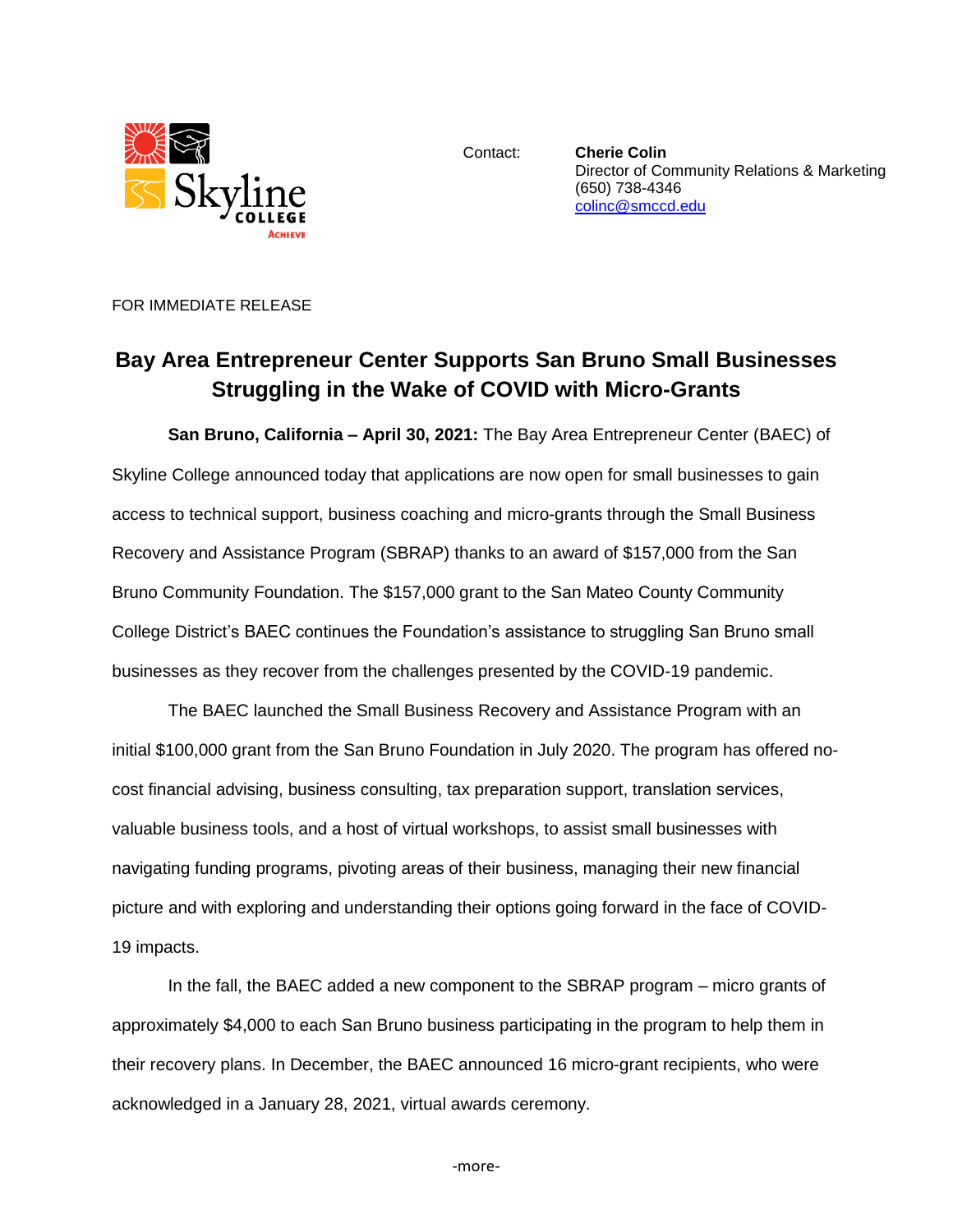

Contact: **Cherie Colin** Director of Community Relations & Marketing (650) 738-4346 [colinc@smccd.edu](mailto:colinc@smccd.edu) 

FOR IMMEDIATE RELEASE

## **Bay Area Entrepreneur Center Supports San Bruno Small Businesses Struggling in the Wake of COVID with Micro-Grants**

**San Bruno, California – April 30, 2021:** The Bay Area Entrepreneur Center (BAEC) of Skyline College announced today that applications are now open for small businesses to gain access to technical support, business coaching and micro-grants through the Small Business Recovery and Assistance Program (SBRAP) thanks to an award of \$157,000 from the San Bruno Community Foundation. The \$157,000 grant to the San Mateo County Community College District's BAEC continues the Foundation's assistance to struggling San Bruno small businesses as they recover from the challenges presented by the COVID-19 pandemic.

The BAEC launched the Small Business Recovery and Assistance Program with an initial \$100,000 grant from the San Bruno Foundation in July 2020. The program has offered nocost financial advising, business consulting, tax preparation support, translation services, valuable business tools, and a host of virtual workshops, to assist small businesses with navigating funding programs, pivoting areas of their business, managing their new financial picture and with exploring and understanding their options going forward in the face of COVID-19 impacts.

In the fall, the BAEC added a new component to the SBRAP program – micro grants of approximately \$4,000 to each San Bruno business participating in the program to help them in their recovery plans. In December, the BAEC announced 16 micro-grant recipients, who were acknowledged in a January 28, 2021, virtual awards ceremony.